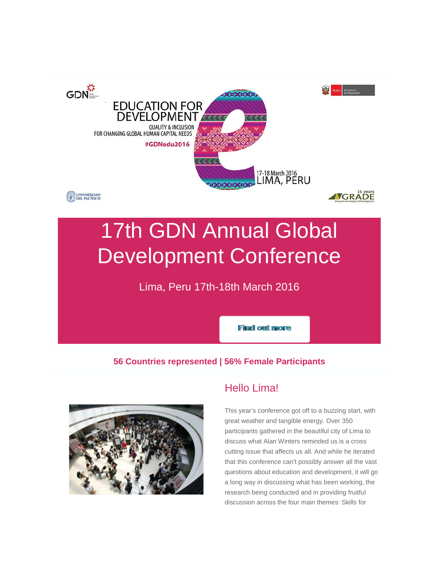

# 17th GDN Annual Global Development Conference

Lima, Peru 17th-18th March 2016

**Find out more** 

## **56 Countries represented | 56% Female Participants**



# Hello Lima!

This year's conference got off to a buzzing start, with great weather and tangible energy. Over 350 participants gathered in the beautiful city of Lima to discuss what Alan Winters reminded us is a cross cutting issue that affects us all. And while he iterated that this conference can't possibly answer all the vast questions about education and development, it will go a long way in discussing what has been working, the research being conducted and in providing fruitful discussion across the four main themes: Skills for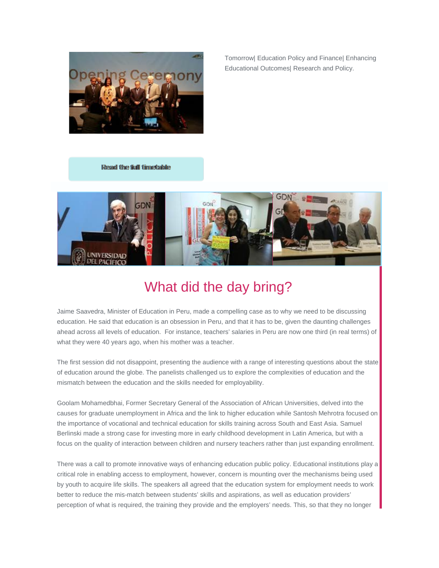

Tomorrow| Education Policy and Finance| Enhancing Educational Outcomes| Research and Policy.

Resad the full timestable



# What did the day bring?

Jaime Saavedra, Minister of Education in Peru, made a compelling case as to why we need to be discussing education. He said that education is an obsession in Peru, and that it has to be, given the daunting challenges ahead across all levels of education. For instance, teachers' salaries in Peru are now one third (in real terms) of what they were 40 years ago, when his mother was a teacher.

The first session did not disappoint, presenting the audience with a range of interesting questions about the state of education around the globe. The panelists challenged us to explore the complexities of education and the mismatch between the education and the skills needed for employability.

Goolam Mohamedbhai, Former Secretary General of the Association of African Universities, delved into the causes for graduate unemployment in Africa and the link to higher education while Santosh Mehrotra focused on the importance of vocational and technical education for skills training across South and East Asia. Samuel Berlinski made a strong case for investing more in early childhood development in Latin America, but with a focus on the quality of interaction between children and nursery teachers rather than just expanding enrollment.

There was a call to promote innovative ways of enhancing education public policy. Educational institutions play a critical role in enabling access to employment, however, concern is mounting over the mechanisms being used by youth to acquire life skills. The speakers all agreed that the education system for employment needs to work better to reduce the mis-match between students' skills and aspirations, as well as education providers' perception of what is required, the training they provide and the employers' needs. This, so that they no longer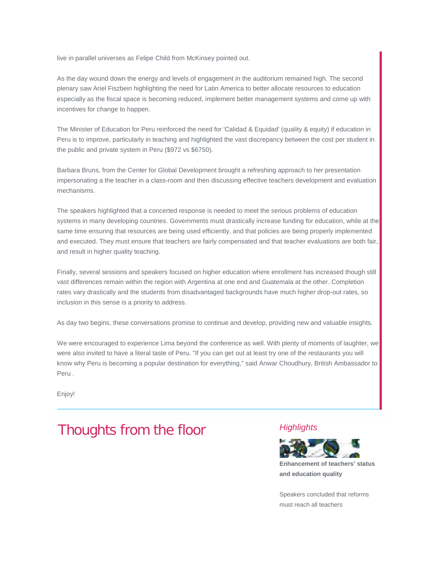live in parallel universes as Felipe Child from McKinsey pointed out.

As the day wound down the energy and levels of engagement in the auditorium remained high. The second plenary saw Ariel Fiszbein highlighting the need for Latin America to better allocate resources to education especially as the fiscal space is becoming reduced, implement better management systems and come up with incentives for change to happen.

The Minister of Education for Peru reinforced the need for 'Calidad & Equidad' (quality & equity) if education in Peru is to improve, particularly in teaching and highlighted the vast discrepancy between the cost per student in the public and private system in Peru (\$972 vs \$6750).

Barbara Bruns, from the Center for Global Development brought a refreshing approach to her presentation impersonating a the teacher in a class-room and then discussing effective teachers development and evaluation mechanisms.

The speakers highlighted that a concerted response is needed to meet the serious problems of education systems in many developing countries. Governments must drastically increase funding for education, while at the same time ensuring that resources are being used efficiently, and that policies are being properly implemented and executed. They must ensure that teachers are fairly compensated and that teacher evaluations are both fair, and result in higher quality teaching.

Finally, several sessions and speakers focused on higher education where enrollment has increased though still vast differences remain within the region with Argentina at one end and Guatemala at the other. Completion rates vary drastically and the students from disadvantaged backgrounds have much higher drop-out rates, so inclusion in this sense is a priority to address.

As day two begins, these conversations promise to continue and develop, providing new and valuable insights.

We were encouraged to experience Lima beyond the conference as well. With plenty of moments of laughter, we were also invited to have a literal taste of Peru. "If you can get out at least try one of the restaurants you will know why Peru is becoming a popular destination for everything," said Anwar Choudhury, British Ambassador to Peru .

Enjoy!

# Thoughts from the floor *Highlights*



**Enhancement of teachers' status and education quality** 

Speakers concluded that reforms must reach all teachers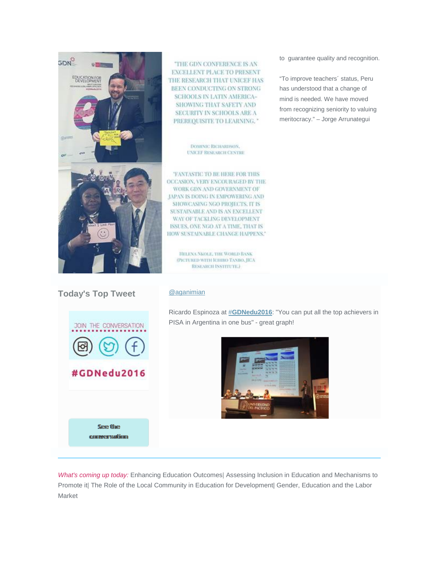

THE GDN CONFERENCE IS AN **EXCELLENT PLACE TO PRESENT** THE RESEARCH THAT UNICEF HAS BEEN CONDUCTING ON STRONG SCHOOLS IN LATIN AMERICA-SHOWING THAT SAFETY AND SECURITY IN SCHOOLS ARE A PREREQUISITE TO LEARNING."

> DOMINIC RICHARDSON, **UNICEF RESEARCH CENTRE**

'FANTASTIC TO BE HERE FOR THIS OCCASION, VERY ENCOURAGED BY THE WORK GDN AND GOVERNMENT OF JAPAN IS DOING IN EMPOWERING AND SHOWCASING NGO PROJECTS. IT IS SUSTAINABLE AND IS AN EXCELLENT WAY OF TACKLING DEVELOPMENT ISSUES, ONE NGO AT A TIME, THAT IS HOW SUSTAINABLE CHANGE HAPPENS."

HELENA NEOLE, THE WORLD BANK (PICTURED WITH ICHIRO TANBO, JICA RESEARCH INSTITUTE.)

to guarantee quality and recognition.

"To improve teachers´ status, Peru has understood that a change of mind is needed. We have moved from recognizing seniority to valuing meritocracy." – Jorge Arrunategui

### **Today's Top Tweet** [@aganimian](http://commsconsult.cmail20.com/t/r-i-elklrlk-l-p/)

#GDNedu2016

See the commersation



Ricardo Espinoza at #**[GDNedu2016](http://commsconsult.cmail20.com/t/r-i-elklrlk-l-x/)**: "You can put all the top achievers in PISA in Argentina in one bus" - great graph!



*What's coming up today:* Enhancing Education Outcomes| Assessing Inclusion in Education and Mechanisms to Promote it| The Role of the Local Community in Education for Development| Gender, Education and the Labor Market